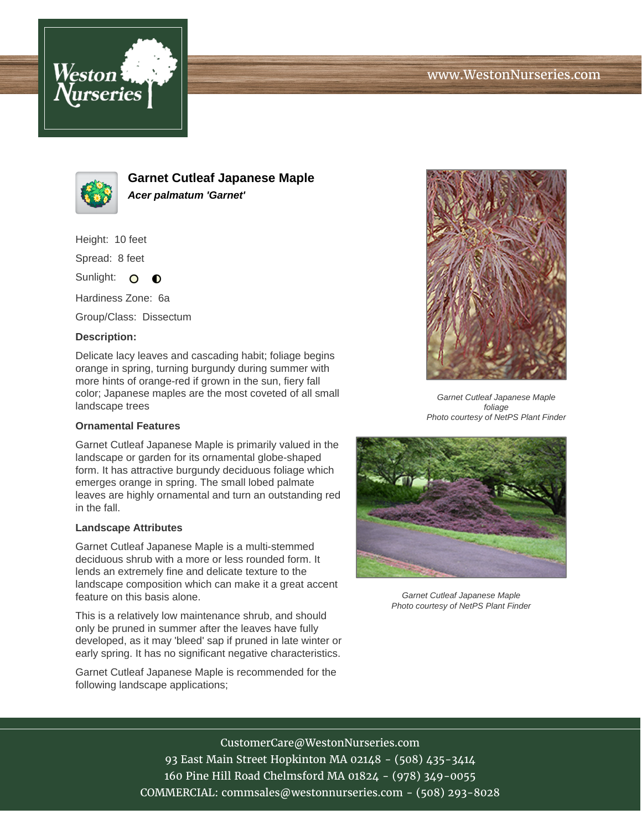



**Garnet Cutleaf Japanese Maple Acer palmatum 'Garnet'**

Height: 10 feet

Spread: 8 feet

Sunlight: O  $\bullet$ 

Hardiness Zone: 6a

Group/Class: Dissectum

### **Description:**

Delicate lacy leaves and cascading habit; foliage begins orange in spring, turning burgundy during summer with more hints of orange-red if grown in the sun, fiery fall color; Japanese maples are the most coveted of all small landscape trees

#### **Ornamental Features**

Garnet Cutleaf Japanese Maple is primarily valued in the landscape or garden for its ornamental globe-shaped form. It has attractive burgundy deciduous foliage which emerges orange in spring. The small lobed palmate leaves are highly ornamental and turn an outstanding red in the fall.

#### **Landscape Attributes**

Garnet Cutleaf Japanese Maple is a multi-stemmed deciduous shrub with a more or less rounded form. It lends an extremely fine and delicate texture to the landscape composition which can make it a great accent feature on this basis alone.

This is a relatively low maintenance shrub, and should only be pruned in summer after the leaves have fully developed, as it may 'bleed' sap if pruned in late winter or early spring. It has no significant negative characteristics.

Garnet Cutleaf Japanese Maple is recommended for the following landscape applications;



Garnet Cutleaf Japanese Maple foliage Photo courtesy of NetPS Plant Finder



Garnet Cutleaf Japanese Maple Photo courtesy of NetPS Plant Finder

# CustomerCare@WestonNurseries.com

93 East Main Street Hopkinton MA 02148 - (508) 435-3414 160 Pine Hill Road Chelmsford MA 01824 - (978) 349-0055 COMMERCIAL: commsales@westonnurseries.com - (508) 293-8028